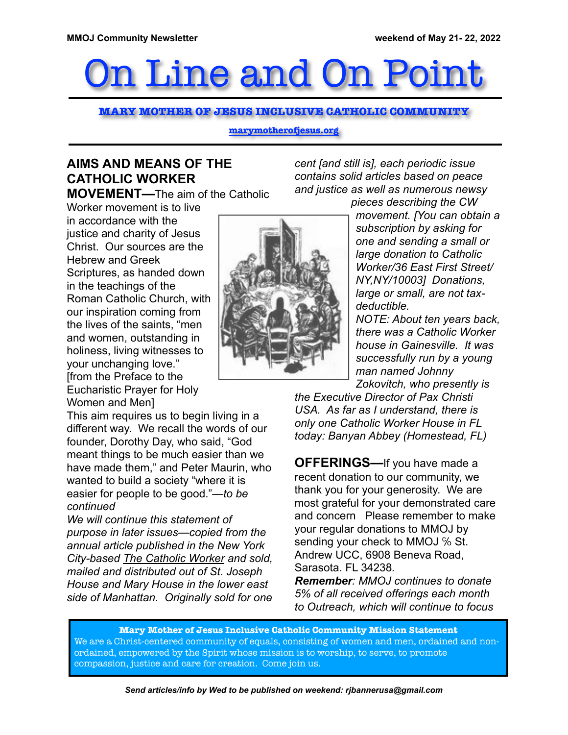# On Line and On Point

**MARY MOTHER OF JESUS INCLUSIVE CATHOLIC COMMUNITY**

**marymotherofjesus.org**

## **AIMS AND MEANS OF THE CATHOLIC WORKER**

**MOVEMENT—**The aim of the Catholic

Worker movement is to live in accordance with the justice and charity of Jesus Christ. Our sources are the Hebrew and Greek Scriptures, as handed down in the teachings of the Roman Catholic Church, with our inspiration coming from the lives of the saints, "men and women, outstanding in holiness, living witnesses to your unchanging love." [from the Preface to the Eucharistic Prayer for Holy Women and Men]

This aim requires us to begin living in a different way. We recall the words of our founder, Dorothy Day, who said, "God meant things to be much easier than we have made them," and Peter Maurin, who wanted to build a society "where it is easier for people to be good."*—to be continued*

*We will continue this statement of purpose in later issues—copied from the annual article published in the New York City-based The Catholic Worker and sold, mailed and distributed out of St. Joseph House and Mary House in the lower east side of Manhattan. Originally sold for one* 



*cent [and still is], each periodic issue contains solid articles based on peace and justice as well as numerous newsy* 

*pieces describing the CW movement. [You can obtain a subscription by asking for one and sending a small or large donation to Catholic Worker/36 East First Street/ NY,NY/10003] Donations, large or small, are not taxdeductible.*

*NOTE: About ten years back, there was a Catholic Worker house in Gainesville. It was successfully run by a young man named Johnny Zokovitch, who presently is* 

*the Executive Director of Pax Christi USA. As far as I understand, there is only one Catholic Worker House in FL today: Banyan Abbey (Homestead, FL)* 

**OFFERINGS—**If you have made a recent donation to our community, we thank you for your generosity. We are most grateful for your demonstrated care and concern Please remember to make your regular donations to MMOJ by sending your check to MMOJ % St. Andrew UCC, 6908 Beneva Road, Sarasota. FL 34238*.*

*Remember: MMOJ continues to donate 5% of all received offerings each month to Outreach, which will continue to focus* 

**Mary Mother of Jesus Inclusive Catholic Community Mission Statement** We are a Christ-centered community of equals, consisting of women and men, ordained and nonordained, empowered by the Spirit whose mission is to worship, to serve, to promote compassion, justice and care for creation. Come join us.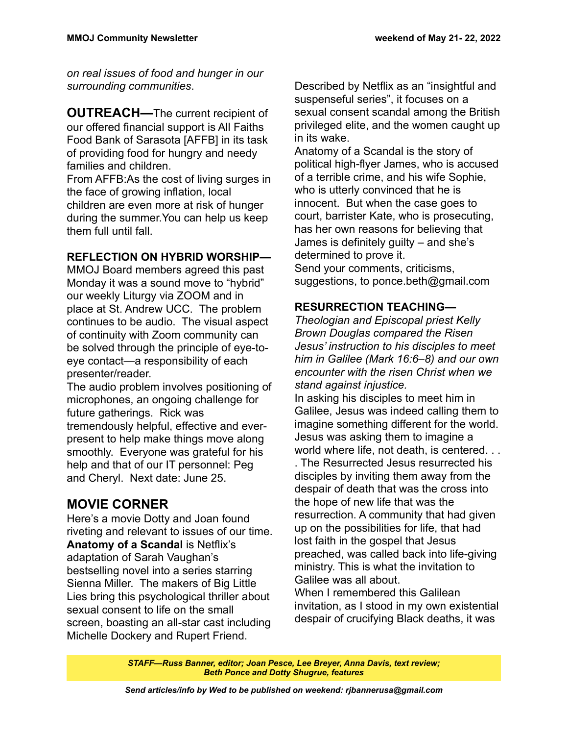*on real issues of food and hunger in our surrounding communities*.

**OUTREACH—**The current recipient of our offered financial support is All Faiths Food Bank of Sarasota [AFFB] in its task of providing food for hungry and needy families and children.

From AFFB:As the cost of living surges in the face of growing inflation, local children are even more at risk of hunger during the summer.You can help us keep them full until fall.

#### **REFLECTION ON HYBRID WORSHIP—**

MMOJ Board members agreed this past Monday it was a sound move to "hybrid" our weekly Liturgy via ZOOM and in place at St. Andrew UCC. The problem continues to be audio. The visual aspect of continuity with Zoom community can be solved through the principle of eye-toeye contact—a responsibility of each presenter/reader.

The audio problem involves positioning of microphones, an ongoing challenge for future gatherings. Rick was tremendously helpful, effective and everpresent to help make things move along smoothly. Everyone was grateful for his help and that of our IT personnel: Peg and Cheryl. Next date: June 25.

### **MOVIE CORNER**

Here's a movie Dotty and Joan found riveting and relevant to issues of our time. **Anatomy of a Scandal** is Netflix's adaptation of Sarah Vaughan's bestselling novel into a series starring Sienna Miller. The makers of Big Little Lies bring this psychological thriller about sexual consent to life on the small screen, boasting an all-star cast including Michelle Dockery and Rupert Friend.

Described by Netflix as an "insightful and suspenseful series", it focuses on a sexual consent scandal among the British privileged elite, and the women caught up in its wake.

Anatomy of a Scandal is the story of political high-flyer James, who is accused of a terrible crime, and his wife Sophie, who is utterly convinced that he is innocent. But when the case goes to court, barrister Kate, who is prosecuting, has her own reasons for believing that James is definitely guilty – and she's determined to prove it. Send your comments, criticisms, suggestions, to ponce.beth@gmail.com

## **RESURRECTION TEACHING—**

*Theologian and Episcopal priest Kelly Brown Douglas compared the Risen Jesus' instruction to his disciples to meet him in Galilee (Mark 16:6–8) and our own encounter with the risen Christ when we stand against injustice.* 

In asking his disciples to meet him in Galilee, Jesus was indeed calling them to imagine something different for the world. Jesus was asking them to imagine a world where life, not death, is centered. . .

. The Resurrected Jesus resurrected his disciples by inviting them away from the despair of death that was the cross into the hope of new life that was the resurrection. A community that had given up on the possibilities for life, that had lost faith in the gospel that Jesus preached, was called back into life-giving ministry. This is what the invitation to Galilee was all about. When I remembered this Galilean

invitation, as I stood in my own existential despair of crucifying Black deaths, it was

*STAFF—Russ Banner, editor; Joan Pesce, Lee Breyer, Anna Davis, text review; Beth Ponce and Dotty Shugrue, features*